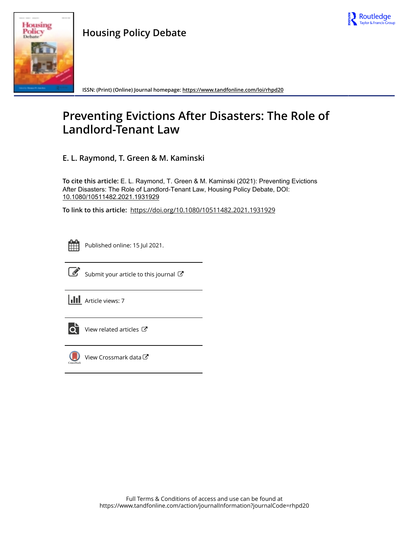



**ISSN: (Print) (Online) Journal homepage:<https://www.tandfonline.com/loi/rhpd20>**

# **Preventing Evictions After Disasters: The Role of Landlord-Tenant Law**

**E. L. Raymond, T. Green & M. Kaminski**

**To cite this article:** E. L. Raymond, T. Green & M. Kaminski (2021): Preventing Evictions After Disasters: The Role of Landlord-Tenant Law, Housing Policy Debate, DOI: [10.1080/10511482.2021.1931929](https://www.tandfonline.com/action/showCitFormats?doi=10.1080/10511482.2021.1931929)

**To link to this article:** <https://doi.org/10.1080/10511482.2021.1931929>



Published online: 15 Jul 2021.



 $\overrightarrow{S}$  [Submit your article to this journal](https://www.tandfonline.com/action/authorSubmission?journalCode=rhpd20&show=instructions)  $\overrightarrow{S}$ 

**III** Article views: 7



[View related articles](https://www.tandfonline.com/doi/mlt/10.1080/10511482.2021.1931929) C



[View Crossmark data](http://crossmark.crossref.org/dialog/?doi=10.1080/10511482.2021.1931929&domain=pdf&date_stamp=2021-07-15)<sup>C</sup>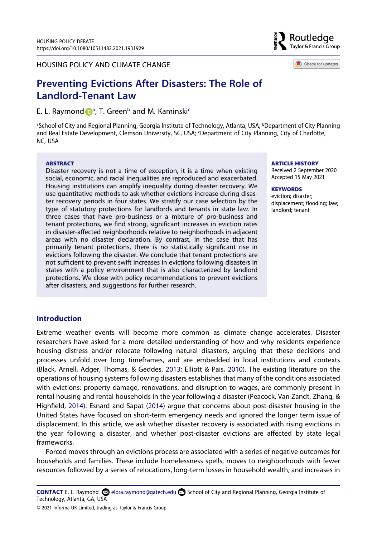HOUSING POLICY AND CLIMATE CHANGE

# **Preventing Evictions After Disasters: The Role of Landlord-Tenant Law**

E. L. Raymon[d](http://orcid.org/0000-0002-9459-561X) D<sup>[a](#page-1-0)</sup>, T. Green<sup>[b](#page-1-0)</sup> and M. Kaminski<sup>c</sup>

<span id="page-1-1"></span><span id="page-1-0"></span>ªSchool of City and Regional Planning, Georgia Institute of Technology, Atlanta, USA; <sup>b</sup>Department of City Planning and Real Estate Development, Clemson University, SC, USA; <Department of City Planning, City of Charlotte, NC, USA

#### **ABSTRACT**

Disaster recovery is not a time of exception, it is a time when existing social, economic, and racial inequalities are reproduced and exacerbated. Housing institutions can amplify inequality during disaster recovery. We use quantitative methods to ask whether evictions increase during disaster recovery periods in four states. We stratify our case selection by the type of statutory protections for landlords and tenants in state law. In three cases that have pro-business or a mixture of pro-business and tenant protections, we find strong, significant increases in eviction rates in disaster-affected neighborhoods relative to neighborhoods in adjacent areas with no disaster declaration. By contrast, in the case that has primarily tenant protections, there is no statistically significant rise in evictions following the disaster. We conclude that tenant protections are not sufficient to prevent swift increases in evictions following disasters in states with a policy environment that is also characterized by landlord protections. We close with policy recommendations to prevent evictions after disasters, and suggestions for further research.

#### **ARTICLE HISTORY**

Received 2 September 2020 Accepted 15 May 2021

#### **KEYWORDS**

eviction; disaster; displacement; flooding; law; landlord; tenant

# **Introduction**

<span id="page-1-2"></span>Extreme weather events will become more common as climate change accelerates. Disaster researchers have asked for a more detailed understanding of how and why residents experience housing distress and/or relocate following natural disasters, arguing that these decisions and processes unfold over long timeframes, and are embedded in local institutions and contexts (Black, Arnell, Adger, Thomas, & Geddes, [2013](#page-15-0); Elliott & Pais, [2010\)](#page-16-0). The existing literature on the operations of housing systems following disasters establishes that many of the conditions associated with evictions: property damage, renovations, and disruption to wages, are commonly present in rental housing and rental households in the year following a disaster (Peacock, Van Zandt, Zhang, & Highfield, [2014](#page-17-0)). Esnard and Sapat ([2014](#page-16-1)) argue that concerns about post-disaster housing in the United States have focused on short-term emergency needs and ignored the longer term issue of displacement. In this article, we ask whether disaster recovery is associated with rising evictions in the year following a disaster, and whether post-disaster evictions are affected by state legal frameworks.

<span id="page-1-3"></span>Forced moves through an evictions process are associated with a series of negative outcomes for households and families. These include homelessness spells, moves to neighborhoods with fewer resources followed by a series of relocations, long-term losses in household wealth, and increases in

**CONTACT** E. L. Raymond **۞** elora.raymond@gatech.edu **■** School of City and Regional Planning, Georgia Institute of Technology, Atlanta, GA, USA



Check for updates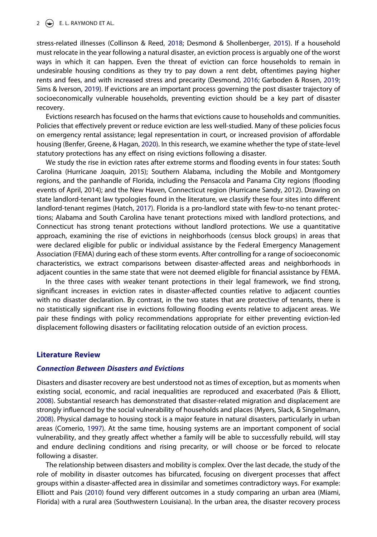#### $2 \left( \frac{1}{2} \right)$  E. L. RAYMOND ET AL.

<span id="page-2-3"></span><span id="page-2-1"></span>stress-related illnesses (Collinson & Reed, [2018](#page-15-1); Desmond & Shollenberger, [2015\)](#page-16-2). If a household must relocate in the year following a natural disaster, an eviction process is arguably one of the worst ways in which it can happen. Even the threat of eviction can force households to remain in undesirable housing conditions as they try to pay down a rent debt, oftentimes paying higher rents and fees, and with increased stress and precarity (Desmond, [2016;](#page-16-3) Garboden & Rosen, [2019](#page-16-4); Sims & Iverson, [2019\)](#page-17-1). If evictions are an important process governing the post disaster trajectory of socioeconomically vulnerable households, preventing eviction should be a key part of disaster recovery.

<span id="page-2-7"></span>Evictions research has focused on the harms that evictions cause to households and communities. Policies that effectively prevent or reduce eviction are less well-studied. Many of these policies focus on emergency rental assistance; legal representation in court, or increased provision of affordable housing (Benfer, Greene, & Hagan, [2020\)](#page-15-2). In this research, we examine whether the type of state-level statutory protections has any effect on rising evictions following a disaster.

<span id="page-2-4"></span><span id="page-2-0"></span>We study the rise in eviction rates after extreme storms and flooding events in four states: South Carolina (Hurricane Joaquin, 2015); Southern Alabama, including the Mobile and Montgomery regions, and the panhandle of Florida, including the Pensacola and Panama City regions (flooding events of April, 2014); and the New Haven, Connecticut region (Hurricane Sandy, 2012). Drawing on state landlord-tenant law typologies found in the literature, we classify these four sites into different landlord-tenant regimes (Hatch, [2017\)](#page-16-5). Florida is a pro-landlord state with few-to-no tenant protections; Alabama and South Carolina have tenant protections mixed with landlord protections, and Connecticut has strong tenant protections without landlord protections. We use a quantitative approach, examining the rise of evictions in neighborhoods (census block groups) in areas that were declared eligible for public or individual assistance by the Federal Emergency Management Association (FEMA) during each of these storm events. After controlling for a range of socioeconomic characteristics, we extract comparisons between disaster-affected areas and neighborhoods in adjacent counties in the same state that were not deemed eligible for financial assistance by FEMA.

In the three cases with weaker tenant protections in their legal framework, we find strong, significant increases in eviction rates in disaster-affected counties relative to adjacent counties with no disaster declaration. By contrast, in the two states that are protective of tenants, there is no statistically significant rise in evictions following flooding events relative to adjacent areas. We pair these findings with policy recommendations appropriate for either preventing eviction-led displacement following disasters or facilitating relocation outside of an eviction process.

#### **Literature Review**

#### *Connection Between Disasters and Evictions*

<span id="page-2-6"></span><span id="page-2-5"></span>Disasters and disaster recovery are best understood not as times of exception, but as moments when existing social, economic, and racial inequalities are reproduced and exacerbated (Pais & Elliott, [2008\)](#page-17-2). Substantial research has demonstrated that disaster-related migration and displacement are strongly influenced by the social vulnerability of households and places (Myers, Slack, & Singelmann, [2008\)](#page-17-3). Physical damage to housing stock is a major feature in natural disasters, particularly in urban areas (Comerio, [1997\)](#page-15-3). At the same time, housing systems are an important component of social vulnerability, and they greatly affect whether a family will be able to successfully rebuild, will stay and endure declining conditions and rising precarity, or will choose or be forced to relocate following a disaster.

<span id="page-2-2"></span>The relationship between disasters and mobility is complex. Over the last decade, the study of the role of mobility in disaster outcomes has bifurcated, focusing on divergent processes that affect groups within a disaster-affected area in dissimilar and sometimes contradictory ways. For example: Elliott and Pais ([2010](#page-16-0)) found very different outcomes in a study comparing an urban area (Miami, Florida) with a rural area (Southwestern Louisiana). In the urban area, the disaster recovery process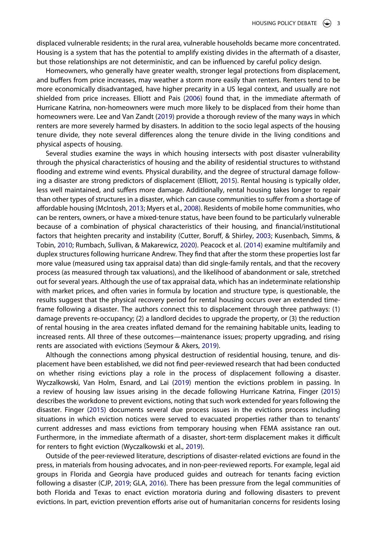displaced vulnerable residents; in the rural area, vulnerable households became more concentrated. Housing is a system that has the potential to amplify existing divides in the aftermath of a disaster, but those relationships are not deterministic, and can be influenced by careful policy design.

<span id="page-3-3"></span>Homeowners, who generally have greater wealth, stronger legal protections from displacement, and buffers from price increases, may weather a storm more easily than renters. Renters tend to be more economically disadvantaged, have higher precarity in a US legal context, and usually are not shielded from price increases. Elliott and Pais ([2006](#page-16-6)) found that, in the immediate aftermath of Hurricane Katrina, non-homeowners were much more likely to be displaced from their home than homeowners were. Lee and Van Zandt [\(2019\)](#page-16-7) provide a thorough review of the many ways in which renters are more severely harmed by disasters. In addition to the socio legal aspects of the housing tenure divide, they note several differences along the tenure divide in the living conditions and physical aspects of housing.

<span id="page-3-7"></span><span id="page-3-6"></span><span id="page-3-5"></span><span id="page-3-2"></span><span id="page-3-1"></span>Several studies examine the ways in which housing intersects with post disaster vulnerability through the physical characteristics of housing and the ability of residential structures to withstand flooding and extreme wind events. Physical durability, and the degree of structural damage following a disaster are strong predictors of displacement (Elliott, [2015\)](#page-16-8). Rental housing is typically older, less well maintained, and suffers more damage. Additionally, rental housing takes longer to repair than other types of structures in a disaster, which can cause communities to suffer from a shortage of affordable housing (McIntosh, [2013](#page-16-9); Myers et al., [2008](#page-17-3)). Residents of mobile home communities, who can be renters, owners, or have a mixed-tenure status, have been found to be particularly vulnerable because of a combination of physical characteristics of their housing, and financial/institutional factors that heighten precarity and instability (Cutter, Boruff, & Shirley, [2003;](#page-16-10) Kusenbach, Simms, & Tobin, [2010;](#page-16-11) Rumbach, Sullivan, & Makarewicz, [2020](#page-17-4)). Peacock et al. ([2014](#page-17-0)) examine multifamily and duplex structures following hurricane Andrew. They find that after the storm these properties lost far more value (measured using tax appraisal data) than did single-family rentals, and that the recovery process (as measured through tax valuations), and the likelihood of abandonment or sale, stretched out for several years. Although the use of tax appraisal data, which has an indeterminate relationship with market prices, and often varies in formula by location and structure type, is questionable, the results suggest that the physical recovery period for rental housing occurs over an extended timeframe following a disaster. The authors connect this to displacement through three pathways: (1) damage prevents re-occupancy; (2) a landlord decides to upgrade the property, or (3) the reduction of rental housing in the area creates inflated demand for the remaining habitable units, leading to increased rents. All three of these outcomes—maintenance issues; property upgrading, and rising rents are associated with evictions (Seymour & Akers, [2019\)](#page-17-5).

<span id="page-3-8"></span>Although the connections among physical destruction of residential housing, tenure, and displacement have been established, we did not find peer-reviewed research that had been conducted on whether rising evictions play a role in the process of displacement following a disaster. Wyczalkowski, Van Holm, Esnard, and Lai [\(2019\)](#page-17-6) mention the evictions problem in passing. In a review of housing law issues arising in the decade following Hurricane Katrina, Finger [\(2015\)](#page-16-12) describes the workdone to prevent evictions, noting that such work extended for years following the disaster. Finger ([2015](#page-16-12)) documents several due process issues in the evictions process including situations in which eviction notices were served to evacuated properties rather than to tenants' current addresses and mass evictions from temporary housing when FEMA assistance ran out. Furthermore, in the immediate aftermath of a disaster, short-term displacement makes it difficult for renters to fight eviction (Wyczalkowski et al., [2019\)](#page-17-6).

<span id="page-3-9"></span><span id="page-3-4"></span><span id="page-3-0"></span>Outside of the peer-reviewed literature, descriptions of disaster-related evictions are found in the press, in materials from housing advocates, and in non-peer-reviewed reports. For example, legal aid groups in Florida and Georgia have produced guides and outreach for tenants facing eviction following a disaster (CJP, [2019;](#page-15-4) GLA, [2016\)](#page-16-13). There has been pressure from the legal communities of both Florida and Texas to enact eviction moratoria during and following disasters to prevent evictions. In part, eviction prevention efforts arise out of humanitarian concerns for residents losing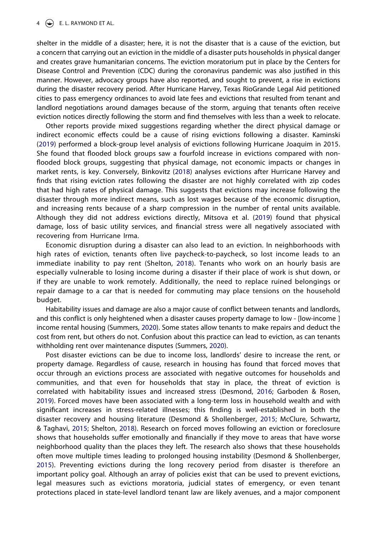shelter in the middle of a disaster; here, it is not the disaster that is a cause of the eviction, but a concern that carrying out an eviction in the middle of a disaster puts households in physical danger and creates grave humanitarian concerns. The eviction moratorium put in place by the Centers for Disease Control and Prevention (CDC) during the coronavirus pandemic was also justified in this manner. However, advocacy groups have also reported, and sought to prevent, a rise in evictions during the disaster recovery period. After Hurricane Harvey, Texas RioGrande Legal Aid petitioned cities to pass emergency ordinances to avoid late fees and evictions that resulted from tenant and landlord negotiations around damages because of the storm, arguing that tenants often receive eviction notices directly following the storm and find themselves with less than a week to relocate.

<span id="page-4-1"></span><span id="page-4-0"></span>Other reports provide mixed suggestions regarding whether the direct physical damage or indirect economic effects could be a cause of rising evictions following a disaster. Kaminski ([2019\)](#page-16-14) performed a block-group level analysis of evictions following Hurricane Joaquim in 2015. She found that flooded block groups saw a fourfold increase in evictions compared with nonflooded block groups, suggesting that physical damage, not economic impacts or changes in market rents, is key. Conversely, Binkovitz ([2018\)](#page-15-5) analyses evictions after Hurricane Harvey and finds that rising eviction rates following the disaster are not highly correlated with zip codes that had high rates of physical damage. This suggests that evictions may increase following the disaster through more indirect means, such as lost wages because of the economic disruption, and increasing rents because of a sharp compression in the number of rental units available. Although they did not address evictions directly, Mitsova et al. ([2019\)](#page-16-15) found that physical damage, loss of basic utility services, and financial stress were all negatively associated with recovering from Hurricane Irma.

<span id="page-4-3"></span>Economic disruption during a disaster can also lead to an eviction. In neighborhoods with high rates of eviction, tenants often live paycheck-to-paycheck, so lost income leads to an immediate inability to pay rent (Shelton, [2018](#page-17-7)). Tenants who work on an hourly basis are especially vulnerable to losing income during a disaster if their place of work is shut down, or if they are unable to work remotely. Additionally, the need to replace ruined belongings or repair damage to a car that is needed for commuting may place tensions on the household budget.

Habitability issues and damage are also a major cause of conflict between tenants and landlords, and this conflict is only heightened when a disaster causes property damage to low - [low-income ] income rental housing (Summers, [2020\)](#page-17-8). Some states allow tenants to make repairs and deduct the cost from rent, but others do not. Confusion about this practice can lead to eviction, as can tenants withholding rent over maintenance disputes (Summers, [2020\)](#page-17-8).

<span id="page-4-4"></span><span id="page-4-2"></span>Post disaster evictions can be due to income loss, landlords' desire to increase the rent, or property damage. Regardless of cause, research in housing has found that forced moves that occur through an evictions process are associated with negative outcomes for households and communities, and that even for households that stay in place, the threat of eviction is correlated with habitability issues and increased stress (Desmond, [2016](#page-16-3); Garboden & Rosen, [2019\)](#page-16-4). Forced moves have been associated with a long-term loss in household wealth and with significant increases in stress-related illnesses; this finding is well-established in both the disaster recovery and housing literature (Desmond & Shollenberger, [2015;](#page-16-2) McClure, Schwartz, & Taghavi, [2015](#page-16-16); Shelton, [2018](#page-17-7)). Research on forced moves following an eviction or foreclosure shows that households suffer emotionally and financially if they move to areas that have worse neighborhood quality than the places they left. The research also shows that these households often move multiple times leading to prolonged housing instability (Desmond & Shollenberger, [2015\)](#page-16-2). Preventing evictions during the long recovery period from disaster is therefore an important policy goal. Although an array of policies exist that can be used to prevent evictions, legal measures such as evictions moratoria, judicial states of emergency, or even tenant protections placed in state-level landlord tenant law are likely avenues, and a major component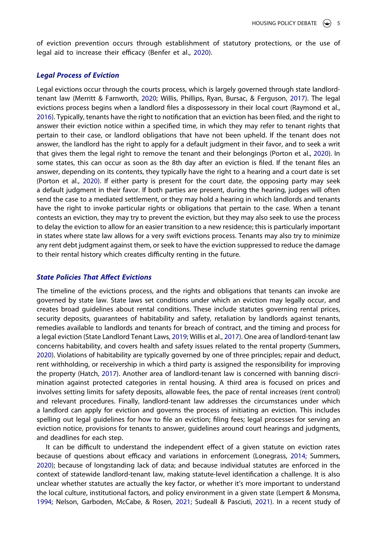of eviction prevention occurs through establishment of statutory protections, or the use of legal aid to increase their efficacy (Benfer et al., [2020](#page-15-2)).

#### *Legal Process of Eviction*

<span id="page-5-5"></span><span id="page-5-4"></span><span id="page-5-2"></span>Legal evictions occur through the courts process, which is largely governed through state landlordtenant law (Merritt & Farnworth, [2020;](#page-16-17) Willis, Phillips, Ryan, Bursac, & Ferguson, [2017](#page-17-9)). The legal evictions process begins when a landlord files a dispossessory in their local court (Raymond et al., [2016\)](#page-17-10). Typically, tenants have the right to notification that an eviction has been filed, and the right to answer their eviction notice within a specified time, in which they may refer to tenant rights that pertain to their case, or landlord obligations that have not been upheld. If the tenant does not answer, the landlord has the right to apply for a default judgment in their favor, and to seek a writ that gives them the legal right to remove the tenant and their belongings (Porton et al., [2020](#page-17-11)). In some states, this can occur as soon as the 8th day after an eviction is filed. If the tenant files an answer, depending on its contents, they typically have the right to a hearing and a court date is set (Porton et al., [2020\)](#page-17-11). If either party is present for the court date, the opposing party may seek a default judgment in their favor. If both parties are present, during the hearing, judges will often send the case to a mediated settlement, or they may hold a hearing in which landlords and tenants have the right to invoke particular rights or obligations that pertain to the case. When a tenant contests an eviction, they may try to prevent the eviction, but they may also seek to use the process to delay the eviction to allow for an easier transition to a new residence; this is particularly important in states where state law allows for a very swift evictions process. Tenants may also try to minimize any rent debt judgment against them, or seek to have the eviction suppressed to reduce the damage to their rental history which creates difficulty renting in the future.

#### *State Policies That Affect Evictions*

<span id="page-5-6"></span>The timeline of the evictions process, and the rights and obligations that tenants can invoke are governed by state law. State laws set conditions under which an eviction may legally occur, and creates broad guidelines about rental conditions. These include statutes governing rental prices, security deposits, guarantees of habitability and safety, retaliation by landlords against tenants, remedies available to landlords and tenants for breach of contract, and the timing and process for a legal eviction (State Landlord Tenant Laws, [2019;](#page-17-12) Willis et al., [2017](#page-17-9)). One area of landlord-tenant law concerns habitability, and covers health and safety issues related to the rental property (Summers, [2020\)](#page-17-8). Violations of habitability are typically governed by one of three principles; repair and deduct, rent withholding, or receivership in which a third party is assigned the responsibility for improving the property (Hatch, [2017\)](#page-16-5). Another area of landlord-tenant law is concerned with banning discrimination against protected categories in rental housing. A third area is focused on prices and involves setting limits for safety deposits, allowable fees, the pace of rental increases (rent control) and relevant procedures. Finally, landlord-tenant law addresses the circumstances under which a landlord can apply for eviction and governs the process of initiating an eviction. This includes spelling out legal guidelines for how to file an eviction; filing fees; legal processes for serving an eviction notice, provisions for tenants to answer, guidelines around court hearings and judgments, and deadlines for each step.

<span id="page-5-3"></span><span id="page-5-1"></span><span id="page-5-0"></span>It can be difficult to understand the independent effect of a given statute on eviction rates because of questions about efficacy and variations in enforcement (Lonegrass, [2014;](#page-16-18) Summers, [2020\)](#page-17-8); because of longstanding lack of data; and because individual statutes are enforced in the context of statewide landlord-tenant law, making statute-level identification a challenge. It is also unclear whether statutes are actually the key factor, or whether it's more important to understand the local culture, institutional factors, and policy environment in a given state (Lempert & Monsma, [1994;](#page-16-19) Nelson, Garboden, McCabe, & Rosen, [2021;](#page-17-13) Sudeall & Pasciuti, [2021\)](#page-17-14). In a recent study of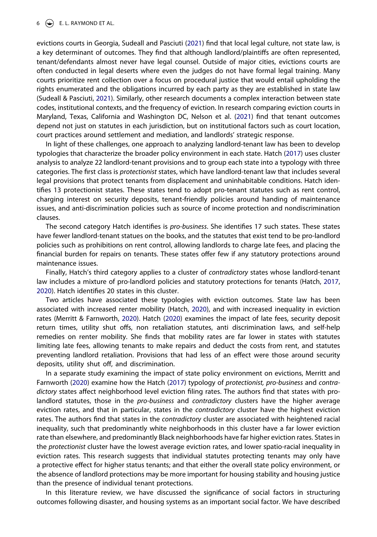#### $6 \quad \Leftrightarrow$  E. L. RAYMOND ET AL.

evictions courts in Georgia, Sudeall and Pasciuti [\(2021\)](#page-17-14) find that local legal culture, not state law, is a key determinant of outcomes. They find that although landlord/plaintiffs are often represented, tenant/defendants almost never have legal counsel. Outside of major cities, evictions courts are often conducted in legal deserts where even the judges do not have formal legal training. Many courts prioritize rent collection over a focus on procedural justice that would entail upholding the rights enumerated and the obligations incurred by each party as they are established in state law (Sudeall & Pasciuti, [2021](#page-17-14)). Similarly, other research documents a complex interaction between state codes, institutional contexts, and the frequency of eviction. In research comparing eviction courts in Maryland, Texas, California and Washington DC, Nelson et al. [\(2021\)](#page-17-13) find that tenant outcomes depend not just on statutes in each jurisdiction, but on institutional factors such as court location, court practices around settlement and mediation, and landlords' strategic response.

In light of these challenges, one approach to analyzing landlord-tenant law has been to develop typologies that characterize the broader policy environment in each state. Hatch [\(2017\)](#page-16-5) uses cluster analysis to analyze 22 landlord-tenant provisions and to group each state into a typology with three categories. The first class is *protectionist* states, which have landlord-tenant law that includes several legal provisions that protect tenants from displacement and uninhabitable conditions. Hatch identifies 13 protectionist states. These states tend to adopt pro-tenant statutes such as rent control, charging interest on security deposits, tenant-friendly policies around handing of maintenance issues, and anti-discrimination policies such as source of income protection and nondiscrimination clauses.

The second category Hatch identifies is *pro-business*. She identifies 17 such states. These states have fewer landlord-tenant statues on the books, and the statutes that exist tend to be pro-landlord policies such as prohibitions on rent control, allowing landlords to charge late fees, and placing the financial burden for repairs on tenants. These states offer few if any statutory protections around maintenance issues.

Finally, Hatch's third category applies to a cluster of *contradictory* states whose landlord-tenant law includes a mixture of pro-landlord policies and statutory protections for tenants (Hatch, [2017](#page-16-5), [2020\)](#page-16-20). Hatch identifies 20 states in this cluster.

<span id="page-6-0"></span>Two articles have associated these typologies with eviction outcomes. State law has been associated with increased renter mobility (Hatch, [2020](#page-16-20)), and with increased inequality in eviction rates (Merritt & Farnworth, [2020](#page-16-17)). Hatch [\(2020\)](#page-16-20) examines the impact of late fees, security deposit return times, utility shut offs, non retaliation statutes, anti discrimination laws, and self-help remedies on renter mobility. She finds that mobility rates are far lower in states with statutes limiting late fees, allowing tenants to make repairs and deduct the costs from rent, and statutes preventing landlord retaliation. Provisions that had less of an effect were those around security deposits, utility shut off, and discrimination.

In a separate study examining the impact of state policy environment on evictions, Merritt and Farnworth ([2020](#page-16-17)) examine how the Hatch ([2017](#page-16-5)) typology of *protectionist, pro-business* and *contradictory* states affect neighborhood level eviction filing rates. The authors find that states with prolandlord statutes, those in the *pro-business* and *contradictory* clusters have the higher average eviction rates, and that in particular, states in the *contradictory* cluster have the highest eviction rates. The authors find that states in the *contradictory* cluster are associated with heightened racial inequality, such that predominantly white neighborhoods in this cluster have a far lower eviction rate than elsewhere, and predominantly Black neighborhoods have far higher eviction rates. States in the *protectionist* cluster have the lowest average eviction rates, and lower spatio-racial inequality in eviction rates. This research suggests that individual statutes protecting tenants may only have a protective effect for higher status tenants; and that either the overall state policy environment, or the absence of landlord protections may be more important for housing stability and housing justice than the presence of individual tenant protections.

In this literature review, we have discussed the significance of social factors in structuring outcomes following disaster, and housing systems as an important social factor. We have described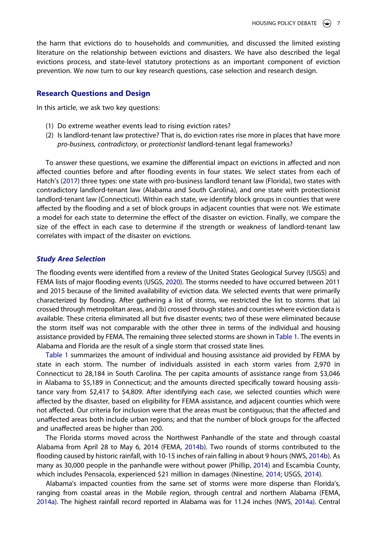the harm that evictions do to households and communities, and discussed the limited existing literature on the relationship between evictions and disasters. We have also described the legal evictions process, and state-level statutory protections as an important component of eviction prevention. We now turn to our key research questions, case selection and research design.

#### **Research Questions and Design**

In this article, we ask two key questions:

- (1) Do extreme weather events lead to rising eviction rates?
- (2) Is landlord-tenant law protective? That is, do eviction rates rise more in places that have more *pro-business, contradictory*, or *protectionist* landlord-tenant legal frameworks?

To answer these questions, we examine the differential impact on evictions in affected and non affected counties before and after flooding events in four states. We select states from each of Hatch's [\(2017\)](#page-16-5) three types: one state with pro-business landlord tenant law (Florida), two states with contradictory landlord-tenant law (Alabama and South Carolina), and one state with protectionist landlord-tenant law (Connecticut). Within each state, we identify block groups in counties that were affected by the flooding and a set of block groups in adjacent counties that were not. We estimate a model for each state to determine the effect of the disaster on eviction. Finally, we compare the size of the effect in each case to determine if the strength or weakness of landlord-tenant law correlates with impact of the disaster on evictions.

#### *Study Area Selection*

<span id="page-7-6"></span>The flooding events were identified from a review of the United States Geological Survey (USGS) and FEMA lists of major flooding events (USGS, [2020\)](#page-17-15). The storms needed to have occurred between 2011 and 2015 because of the limited availability of eviction data. We selected events that were primarily characterized by flooding. After gathering a list of storms, we restricted the list to storms that (a) crossed through metropolitan areas, and (b) crossed through states and counties where eviction data is available. These criteria eliminated all but five disaster events; two of these were eliminated because the storm itself was not comparable with the other three in terms of the individual and housing assistance provided by FEMA. The remaining three selected storms are shown in [Table 1](#page-8-0). The events in Alabama and Florida are the result of a single storm that crossed state lines.

[Table 1](#page-8-0) summarizes the amount of individual and housing assistance aid provided by FEMA by state in each storm. The number of individuals assisted in each storm varies from 2,970 in Connecticut to 28,184 in South Carolina. The per capita amounts of assistance range from \$3,046 in Alabama to \$5,189 in Connecticut; and the amounts directed specifically toward housing assistance vary from \$2,417 to \$4,809. After identifying each case, we selected counties which were affected by the disaster, based on eligibility for FEMA assistance, and adjacent counties which were not affected. Our criteria for inclusion were that the areas must be contiguous; that the affected and unaffected areas both include urban regions; and that the number of block groups for the affected and unaffected areas be higher than 200.

<span id="page-7-4"></span><span id="page-7-1"></span>The Florida storms moved across the Northwest Panhandle of the state and through coastal Alabama from April 28 to May 6, 2014 (FEMA, [2014b\)](#page-16-21). Two rounds of storms contributed to the flooding caused by historic rainfall, with 10-15 inches of rain falling in about 9 hours (NWS, [2014b](#page-17-16)). As many as 30,000 people in the panhandle were without power (Phillip, [2014\)](#page-17-17) and Escambia County, which includes Pensacola, experienced \$21 million in damages (Ninestine, [2014](#page-17-18); USGS, [2014\)](#page-17-19).

<span id="page-7-5"></span><span id="page-7-3"></span><span id="page-7-2"></span><span id="page-7-0"></span>Alabama's impacted counties from the same set of storms were more disperse than Florida's, ranging from coastal areas in the Mobile region, through central and northern Alabama (FEMA, [2014a\)](#page-16-22). The highest rainfall record reported in Alabama was for 11.24 inches (NWS, [2014a](#page-17-20)). Central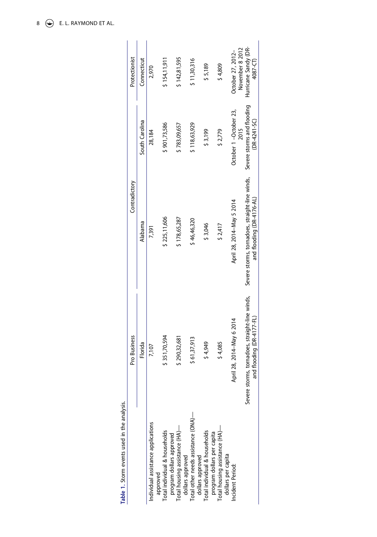<span id="page-8-0"></span>

| Protectionist<br>Contradictory | Connecticut<br>South Carolina | 2,970<br>28,184                                | \$154,11,911<br>\$901,73,586                              | \$142,81,595<br>\$783,09,657                       | \$11,30,316<br>\$118,63,929                             | \$5,189<br>\$3,199                                          | \$4,809<br>\$2,779                                   | November 8 2012<br>October 27, 2012-<br>October 1-October 23,<br>2015 | Hurricane Sandy (DR-<br>4087-CT)<br>Severe storms and flooding<br>(DR-4241-SC) |
|--------------------------------|-------------------------------|------------------------------------------------|-----------------------------------------------------------|----------------------------------------------------|---------------------------------------------------------|-------------------------------------------------------------|------------------------------------------------------|-----------------------------------------------------------------------|--------------------------------------------------------------------------------|
|                                | Alabama                       | 7,391                                          | \$225,11,606                                              | \$178,65,287                                       | \$46,46,320                                             | \$3,046                                                     | \$2,417                                              | April 28, 2014–May 5 2014                                             | Severe storms, tornadoes, straight-line winds,<br>and flooding (DR-4176-AL)    |
| Pro Business                   | Florida                       | 7,107                                          | \$351,70,594                                              | \$290,32,681                                       | \$61,37,913                                             | \$4,949                                                     | \$4,085                                              | April 28, 2014-May 6 2014                                             | Severe storms, tornadoes, straight-line winds,<br>and flooding (DR-4177-FL)    |
|                                |                               | Individual assistance applications<br>approved | Total individual & households<br>program dollars approved | Total housing assistance (HA)-<br>dollars approved | Total other needs assistance (ONA)-<br>dollars approved | Total individual & households<br>program dollars per capita | Total housing assistance (HA)-<br>dollars per capita | Incident Period:                                                      |                                                                                |

Table 1. Storm events used in the analysis. **Table 1.** Storm events used in the analysis.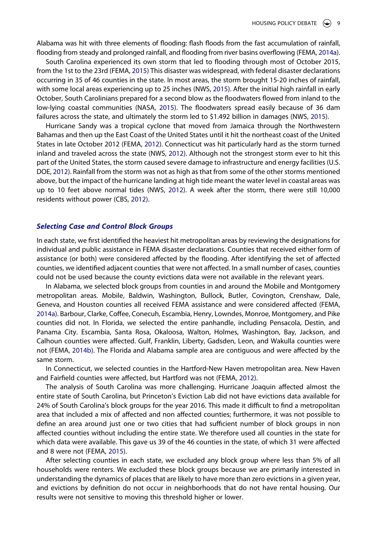Alabama was hit with three elements of flooding: flash floods from the fast accumulation of rainfall, flooding from steady and prolonged rainfall, and flooding from river basins overflowing (FEMA, [2014a\)](#page-16-22).

South Carolina experienced its own storm that led to flooding through most of October 2015, from the 1st to the 23rd (FEMA, [2015](#page-16-23)) This disaster was widespread, with federal disaster declarations occurring in 35 of 46 counties in the state. In most areas, the storm brought 15-20 inches of rainfall, with some local areas experiencing up to 25 inches (NWS, [2015](#page-17-21)). After the initial high rainfall in early October, South Carolinians prepared for a second blow as the floodwaters flowed from inland to the low-lying coastal communities (NASA, [2015](#page-17-22)). The floodwaters spread easily because of 36 dam failures across the state, and ultimately the storm led to \$1.492 billion in damages (NWS, [2015](#page-17-21)).

<span id="page-9-6"></span><span id="page-9-5"></span><span id="page-9-3"></span>Hurricane Sandy was a tropical cyclone that moved from Jamaica through the Northwestern Bahamas and then up the East Coast of the United States until it hit the northeast coast of the United States in late October 2012 (FEMA, [2012\)](#page-16-24). Connecticut was hit particularly hard as the storm turned inland and traveled across the state (NWS, [2012](#page-17-23)). Although not the strongest storm ever to hit this part of the United States, the storm caused severe damage to infrastructure and energy facilities (U.S. DOE, [2012\)](#page-17-24). Rainfall from the storm was not as high as that from some of the other storms mentioned above, but the impact of the hurricane landing at high tide meant the water level in coastal areas was up to 10 feet above normal tides (NWS, [2012\)](#page-17-23). A week after the storm, there were still 10,000 residents without power (CBS, [2012\)](#page-15-6).

## <span id="page-9-4"></span><span id="page-9-0"></span>*Selecting Case and Control Block Groups*

In each state, we first identified the heaviest hit metropolitan areas by reviewing the designations for individual and public assistance in FEMA disaster declarations. Counties that received either form of assistance (or both) were considered affected by the flooding. After identifying the set of affected counties, we identified adjacent counties that were not affected. In a small number of cases, counties could not be used because the county evictions data were not available in the relevant years.

In Alabama, we selected block groups from counties in and around the Mobile and Montgomery metropolitan areas. Mobile, Baldwin, Washington, Bullock, Butler, Covington, Crenshaw, Dale, Geneva, and Houston counties all received FEMA assistance and were considered affected (FEMA, [2014a](#page-16-22)). Barbour, Clarke, Coffee, Conecuh, Escambia, Henry, Lowndes, Monroe, Montgomery, and Pike counties did not. In Florida, we selected the entire panhandle, including Pensacola, Destin, and Panama City. Escambia, Santa Rosa, Okaloosa, Walton, Holmes, Washington, Bay, Jackson, and Calhoun counties were affected. Gulf, Franklin, Liberty, Gadsden, Leon, and Wakulla counties were not (FEMA, [2014b](#page-16-21)). The Florida and Alabama sample area are contiguous and were affected by the same storm.

<span id="page-9-1"></span>In Connecticut, we selected counties in the Hartford-New Haven metropolitan area. New Haven and Fairfield counties were affected, but Hartford was not (FEMA, [2012\)](#page-16-24).

The analysis of South Carolina was more challenging. Hurricane Joaquin affected almost the entire state of South Carolina, but Princeton's Eviction Lab did not have evictions data available for 24% of South Carolina's block groups for the year 2016. This made it difficult to find a metropolitan area that included a mix of affected and non affected counties; furthermore, it was not possible to define an area around just one or two cities that had sufficient number of block groups in non affected counties without including the entire state. We therefore used all counties in the state for which data were available. This gave us 39 of the 46 counties in the state, of which 31 were affected and 8 were not (FEMA, [2015\)](#page-16-23).

<span id="page-9-2"></span>After selecting counties in each state, we excluded any block group where less than 5% of all households were renters. We excluded these block groups because we are primarily interested in understanding the dynamics of places that are likely to have more than zero evictions in a given year, and evictions by definition do not occur in neighborhoods that do not have rental housing. Our results were not sensitive to moving this threshold higher or lower.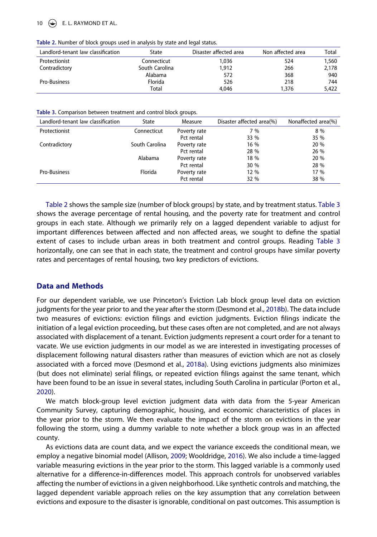#### $\left(\frac{1}{2}\right)$  E. L. RAYMOND ET AL.

<span id="page-10-0"></span>

| Table 2. Number of block groups used in analysis by state and legal status. |  |  |  |  |  |
|-----------------------------------------------------------------------------|--|--|--|--|--|
|-----------------------------------------------------------------------------|--|--|--|--|--|

| Landlord-tenant law classification | State          | Disaster affected area | Non affected area | Total |
|------------------------------------|----------------|------------------------|-------------------|-------|
| Protectionist                      | Connecticut    | 1.036                  | 524               | 1,560 |
| Contradictory                      | South Carolina | 1,912                  | 266               | 2,178 |
|                                    | Alabama        | 572                    | 368               | 940   |
| Pro-Business                       | Florida        | 526                    | 218               | 744   |
|                                    | Total          | 4.046                  | 1.376             | 5,422 |

<span id="page-10-1"></span>**Table 3.** Comparison between treatment and control block groups.

| Landlord-tenant law classification | State          | Measure      | Disaster affected area(%) | Nonaffected area(%) |
|------------------------------------|----------------|--------------|---------------------------|---------------------|
| Protectionist                      | Connecticut    | Poverty rate | 7 %                       | 8 %                 |
|                                    |                | Pct rental   | 33 %                      | 35 %                |
| Contradictory                      | South Carolina | Poverty rate | 16 %                      | 20 %                |
|                                    |                | Pct rental   | 28 %                      | 26 %                |
|                                    | Alabama        | Poverty rate | 18 %                      | 20 %                |
|                                    |                | Pct rental   | 30 %                      | 28 %                |
| Pro-Business                       | Florida        | Poverty rate | 12 %                      | 17 %                |
|                                    |                | Pct rental   | 32 %                      | 38 %                |

[Table 2](#page-10-0) shows the sample size (number of block groups) by state, and by treatment status. [Table 3](#page-10-1) shows the average percentage of rental housing, and the poverty rate for treatment and control groups in each state. Although we primarily rely on a lagged dependent variable to adjust for important differences between affected and non affected areas, we sought to define the spatial extent of cases to include urban areas in both treatment and control groups. Reading [Table 3](#page-10-1) horizontally, one can see that in each state, the treatment and control groups have similar poverty rates and percentages of rental housing, two key predictors of evictions.

#### **Data and Methods**

<span id="page-10-4"></span>For our dependent variable, we use Princeton's Eviction Lab block group level data on eviction judgments for the year prior to and the year after the storm (Desmond et al., [2018b](#page-16-25)). The data include two measures of evictions: eviction filings and eviction judgments. Eviction filings indicate the initiation of a legal eviction proceeding, but these cases often are not completed, and are not always associated with displacement of a tenant. Eviction judgments represent a court order for a tenant to vacate. We use eviction judgments in our model as we are interested in investigating processes of displacement following natural disasters rather than measures of eviction which are not as closely associated with a forced move (Desmond et al., [2018a](#page-16-26)). Using evictions judgments also minimizes (but does not eliminate) serial filings, or repeated eviction filings against the same tenant, which have been found to be an issue in several states, including South Carolina in particular (Porton et al., [2020\)](#page-17-11).

<span id="page-10-3"></span>We match block-group level eviction judgment data with data from the 5-year American Community Survey, capturing demographic, housing, and economic characteristics of places in the year prior to the storm. We then evaluate the impact of the storm on evictions in the year following the storm, using a dummy variable to note whether a block group was in an affected county.

<span id="page-10-2"></span>As evictions data are count data, and we expect the variance exceeds the conditional mean, we employ a negative binomial model (Allison, [2009;](#page-15-7) Wooldridge, [2016\)](#page-17-25). We also include a time-lagged variable measuring evictions in the year prior to the storm. This lagged variable is a commonly used alternative for a difference-in-differences model. This approach controls for unobserved variables affecting the number of evictions in a given neighborhood. Like synthetic controls and matching, the lagged dependent variable approach relies on the key assumption that any correlation between evictions and exposure to the disaster is ignorable, conditional on past outcomes. This assumption is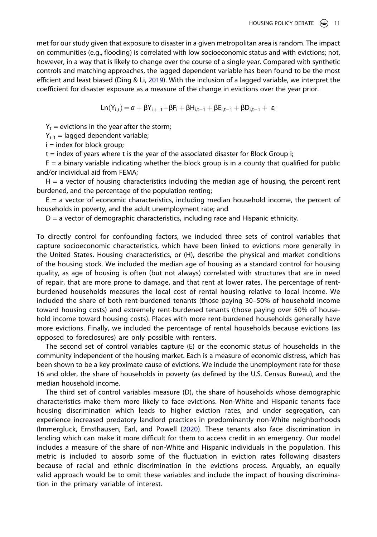<span id="page-11-0"></span>met for our study given that exposure to disaster in a given metropolitan area is random. The impact on communities (e.g., flooding) is correlated with low socioeconomic status and with evictions; not, however, in a way that is likely to change over the course of a single year. Compared with synthetic controls and matching approaches, the lagged dependent variable has been found to be the most efficient and least biased (Ding & Li, [2019\)](#page-16-27). With the inclusion of a lagged variable, we interpret the coefficient for disaster exposure as a measure of the change in evictions over the year prior.

$$
Ln(Y_{i,t}) = \alpha + \beta Y_{i,t-1} + \beta F_i + \beta H_{i,t-1} + \beta E_{i,t-1} + \beta D_{i,t-1} + \epsilon_i
$$

 $Y_t$  = evictions in the year after the storm;

 $Y_{t-1}$  = lagged dependent variable;

 $i =$  index for block group;

 $t =$  index of years where  $t$  is the year of the associated disaster for Block Group i;

 $F = a$  binary variable indicating whether the block group is in a county that qualified for public and/or individual aid from FEMA;

 $H = a$  vector of housing characteristics including the median age of housing, the percent rent burdened, and the percentage of the population renting;

 $E = a$  vector of economic characteristics, including median household income, the percent of households in poverty, and the adult unemployment rate; and

 $D = a$  vector of demographic characteristics, including race and Hispanic ethnicity.

To directly control for confounding factors, we included three sets of control variables that capture socioeconomic characteristics, which have been linked to evictions more generally in the United States. Housing characteristics, or (H), describe the physical and market conditions of the housing stock. We included the median age of housing as a standard control for housing quality, as age of housing is often (but not always) correlated with structures that are in need of repair, that are more prone to damage, and that rent at lower rates. The percentage of rentburdened households measures the local cost of rental housing relative to local income. We included the share of both rent-burdened tenants (those paying 30–50% of household income toward housing costs) and extremely rent-burdened tenants (those paying over 50% of household income toward housing costs). Places with more rent-burdened households generally have more evictions. Finally, we included the percentage of rental households because evictions (as opposed to foreclosures) are only possible with renters.

The second set of control variables capture (E) or the economic status of households in the community independent of the housing market. Each is a measure of economic distress, which has been shown to be a key proximate cause of evictions. We include the unemployment rate for those 16 and older, the share of households in poverty (as defined by the U.S. Census Bureau), and the median household income.

<span id="page-11-1"></span>The third set of control variables measure (D), the share of households whose demographic characteristics make them more likely to face evictions. Non-White and Hispanic tenants face housing discrimination which leads to higher eviction rates, and under segregation, can experience increased predatory landlord practices in predominantly non-White neighborhoods (Immergluck, Ernsthausen, Earl, and Powell [\(2020](#page-16-28)). These tenants also face discrimination in lending which can make it more difficult for them to access credit in an emergency. Our model includes a measure of the share of non-White and Hispanic individuals in the population. This metric is included to absorb some of the fluctuation in eviction rates following disasters because of racial and ethnic discrimination in the evictions process. Arguably, an equally valid approach would be to omit these variables and include the impact of housing discrimination in the primary variable of interest.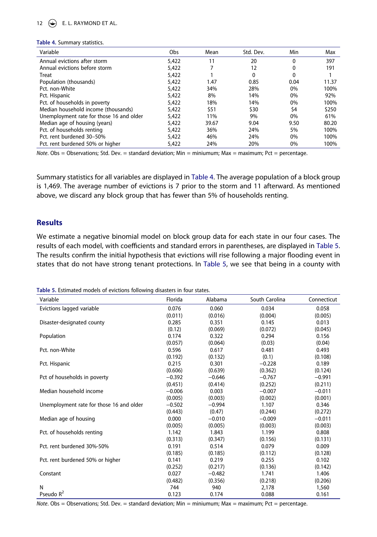# 12  $\left(\rightarrow\right)$  E. L. RAYMOND ET AL.

#### <span id="page-12-0"></span>**Table 4.** Summary statistics.

| Variable                                 | Obs   | Mean  | Std. Dev. | Min      | Max   |
|------------------------------------------|-------|-------|-----------|----------|-------|
| Annual evictions after storm             | 5,422 | 11    | 20        | $\Omega$ | 397   |
| Annual evictions before storm            | 5,422 |       | 12        | 0        | 191   |
| Treat                                    | 5,422 |       | 0         | 0        |       |
| Population (thousands)                   | 5,422 | 1.47  | 0.85      | 0.04     | 11.37 |
| Pct. non-White                           | 5,422 | 34%   | 28%       | 0%       | 100%  |
| Pct. Hispanic                            | 5,422 | 8%    | 14%       | 0%       | 92%   |
| Pct. of households in poverty            | 5,422 | 18%   | 14%       | 0%       | 100%  |
| Median household income (thousands)      | 5,422 | \$51  | \$30      | \$4      | \$250 |
| Unemployment rate for those 16 and older | 5,422 | 11%   | 9%        | 0%       | 61%   |
| Median age of housing (years)            | 5,422 | 39.67 | 9.04      | 9.50     | 80.20 |
| Pct. of households renting               | 5,422 | 36%   | 24%       | 5%       | 100%  |
| Pct. rent burdened 30-50%                | 5,422 | 46%   | 24%       | 0%       | 100%  |
| Pct. rent burdened 50% or higher         | 5,422 | 24%   | 20%       | $0\%$    | 100%  |

*Note*. Obs = Observations; Std. Dev. = standard deviation; Min = miniumum; Max = maximum; Pct = percentage.

Summary statistics for all variables are displayed in [Table 4](#page-12-0). The average population of a block group is 1,469. The average number of evictions is 7 prior to the storm and 11 afterward. As mentioned above, we discard any block group that has fewer than 5% of households renting.

# **Results**

We estimate a negative binomial model on block group data for each state in our four cases. The results of each model, with coefficients and standard errors in parentheses, are displayed in [Table 5](#page-12-1). The results confirm the initial hypothesis that evictions will rise following a major flooding event in states that do not have strong tenant protections. In [Table 5](#page-12-1), we see that being in a county with

| Variable                                 | Florida  | Alabama  | South Carolina | Connecticut |
|------------------------------------------|----------|----------|----------------|-------------|
| Evictions lagged variable                | 0.076    | 0.060    | 0.034          | 0.058       |
|                                          | (0.011)  | (0.016)  | (0.004)        | (0.005)     |
| Disaster-designated county               | 0.285    | 0.351    | 0.145          | 0.013       |
|                                          | (0.12)   | (0.069)  | (0.072)        | (0.045)     |
| Population                               | 0.174    | 0.322    | 0.294          | 0.156       |
|                                          | (0.057)  | (0.064)  | (0.03)         | (0.04)      |
| Pct. non-White                           | 0.596    | 0.617    | 0.481          | 0.493       |
|                                          | (0.192)  | (0.132)  | (0.1)          | (0.108)     |
| Pct. Hispanic                            | 0.215    | 0.301    | $-0.228$       | 0.189       |
|                                          | (0.606)  | (0.639)  | (0.362)        | (0.124)     |
| Pct of households in poverty             | $-0.392$ | $-0.646$ | $-0.767$       | $-0.991$    |
|                                          | (0.451)  | (0.414)  | (0.252)        | (0.211)     |
| Median household income                  | $-0.006$ | 0.003    | $-0.007$       | $-0.011$    |
|                                          | (0.005)  | (0.003)  | (0.002)        | (0.001)     |
| Unemployment rate for those 16 and older | $-0.502$ | $-0.994$ | 1.107          | 0.346       |
|                                          | (0.443)  | (0.47)   | (0.244)        | (0.272)     |
| Median age of housing                    | 0.000    | $-0.010$ | $-0.009$       | $-0.011$    |
|                                          | (0.005)  | (0.005)  | (0.003)        | (0.003)     |
| Pct. of households renting               | 1.142    | 1.843    | 1.199          | 0.808       |
|                                          | (0.313)  | (0.347)  | (0.156)        | (0.131)     |
| Pct. rent burdened 30%-50%               | 0.191    | 0.514    | 0.079          | 0.009       |
|                                          | (0.185)  | (0.185)  | (0.112)        | (0.128)     |
| Pct. rent burdened 50% or higher         | 0.141    | 0.219    | 0.255          | 0.102       |
|                                          | (0.252)  | (0.217)  | (0.136)        | (0.142)     |
| Constant                                 | 0.027    | $-0.482$ | 1.741          | 1.406       |
|                                          | (0.482)  | (0.356)  | (0.218)        | (0.206)     |
| N                                        | 744      | 940      | 2,178          | 1,560       |
| Pseudo $R^2$                             | 0.123    | 0.174    | 0.088          | 0.161       |

<span id="page-12-1"></span>**Table 5.** Estimated models of evictions following disasters in four states.

*Note*. Obs = Observations; Std. Dev. = standard deviation; Min = miniumum; Max = maximum; Pct = percentage.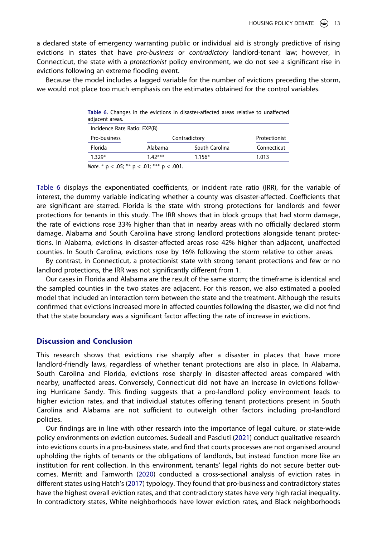a declared state of emergency warranting public or individual aid is strongly predictive of rising evictions in states that have *pro-business* or *contradictory* landlord-tenant law; however, in Connecticut, the state with a *protectionist* policy environment, we do not see a significant rise in evictions following an extreme flooding event.

Because the model includes a lagged variable for the number of evictions preceding the storm, we would not place too much emphasis on the estimates obtained for the control variables.

<span id="page-13-0"></span>

| Table 6. Changes in the evictions in disaster-affected areas relative to unaffected<br>adjacent areas. |          |                |             |  |  |  |  |
|--------------------------------------------------------------------------------------------------------|----------|----------------|-------------|--|--|--|--|
| Incidence Rate Ratio: EXP(B)                                                                           |          |                |             |  |  |  |  |
| Pro-business<br>Contradictory<br>Protectionist                                                         |          |                |             |  |  |  |  |
| Florida                                                                                                | Alabama  | South Carolina | Connecticut |  |  |  |  |
| 1.329*                                                                                                 | $142***$ | $1.156*$       | 1.013       |  |  |  |  |
|                                                                                                        |          |                |             |  |  |  |  |

*Note*. \* p < .05; \*\* p < .01; \*\*\* p < .001.

[Table 6](#page-13-0) displays the exponentiated coefficients, or incident rate ratio (IRR), for the variable of interest, the dummy variable indicating whether a county was disaster-affected. Coefficients that are significant are starred. Florida is the state with strong protections for landlords and fewer protections for tenants in this study. The IRR shows that in block groups that had storm damage, the rate of evictions rose 33% higher than that in nearby areas with no officially declared storm damage. Alabama and South Carolina have strong landlord protections alongside tenant protections. In Alabama, evictions in disaster-affected areas rose 42% higher than adjacent, unaffected counties. In South Carolina, evictions rose by 16% following the storm relative to other areas.

By contrast, in Connecticut, a protectionist state with strong tenant protections and few or no landlord protections, the IRR was not significantly different from 1.

Our cases in Florida and Alabama are the result of the same storm; the timeframe is identical and the sampled counties in the two states are adjacent. For this reason, we also estimated a pooled model that included an interaction term between the state and the treatment. Although the results confirmed that evictions increased more in affected counties following the disaster, we did not find that the state boundary was a significant factor affecting the rate of increase in evictions.

# **Discussion and Conclusion**

This research shows that evictions rise sharply after a disaster in places that have more landlord-friendly laws, regardless of whether tenant protections are also in place. In Alabama, South Carolina and Florida, evictions rose sharply in disaster-affected areas compared with nearby, unaffected areas. Conversely, Connecticut did not have an increase in evictions following Hurricane Sandy. This finding suggests that a pro-landlord policy environment leads to higher eviction rates, and that individual statutes offering tenant protections present in South Carolina and Alabama are not sufficient to outweigh other factors including pro-landlord policies.

Our findings are in line with other research into the importance of legal culture, or state-wide policy environments on eviction outcomes. Sudeall and Pasciuti [\(2021\)](#page-17-14) conduct qualitative research into evictions courts in a pro-business state, and find that courts processes are not organised around upholding the rights of tenants or the obligations of landlords, but instead function more like an institution for rent collection. In this environment, tenants' legal rights do not secure better outcomes. Merritt and Farnworth [\(2020\)](#page-16-17) conducted a cross-sectional analysis of eviction rates in different states using Hatch's [\(2017\)](#page-16-5) typology. They found that pro-business and contradictory states have the highest overall eviction rates, and that contradictory states have very high racial inequality. In contradictory states, White neighborhoods have lower eviction rates, and Black neighborhoods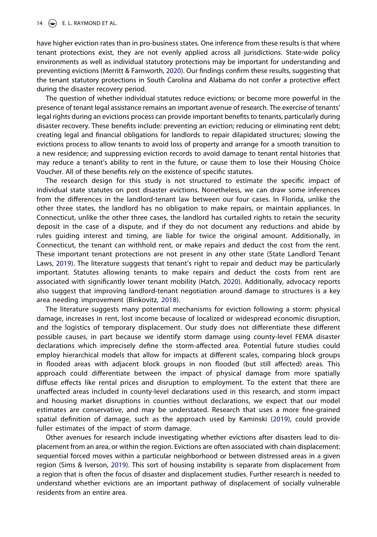have higher eviction rates than in pro-business states. One inference from these results is that where tenant protections exist, they are not evenly applied across all jurisdictions. State-wide policy environments as well as individual statutory protections may be important for understanding and preventing evictions (Merritt & Farnworth, [2020\)](#page-16-17). Our findings confirm these results, suggesting that the tenant statutory protections in South Carolina and Alabama do not confer a protective effect during the disaster recovery period.

The question of whether individual statutes reduce evictions; or become more powerful in the presence of tenant legal assistance remains an important avenue of research. The exercise of tenants' legal rights during an evictions process can provide important benefits to tenants, particularly during disaster recovery. These benefits include: preventing an eviction; reducing or eliminating rent debt; creating legal and financial obligations for landlords to repair dilapidated structures; slowing the evictions process to allow tenants to avoid loss of property and arrange for a smooth transition to a new residence; and suppressing eviction records to avoid damage to tenant rental histories that may reduce a tenant's ability to rent in the future, or cause them to lose their Housing Choice Voucher. All of these benefits rely on the existence of specific statutes.

The research design for this study is not structured to estimate the specific impact of individual state statutes on post disaster evictions. Nonetheless, we can draw some inferences from the differences in the landlord-tenant law between our four cases. In Florida, unlike the other three states, the landlord has no obligation to make repairs, or maintain appliances. In Connecticut, unlike the other three cases, the landlord has curtailed rights to retain the security deposit in the case of a dispute, and if they do not document any reductions and abide by rules guiding interest and timing, are liable for twice the original amount. Additionally, in Connecticut, the tenant can withhold rent, or make repairs and deduct the cost from the rent. These important tenant protections are not present in any other state (State Landlord Tenant Laws, [2019](#page-17-12)). The literature suggests that tenant's right to repair and deduct may be particularly important. Statutes allowing tenants to make repairs and deduct the costs from rent are associated with significantly lower tenant mobility (Hatch, [2020](#page-16-20)). Additionally, advocacy reports also suggest that improving landlord-tenant negotiation around damage to structures is a key area needing improvement (Binkovitz, [2018](#page-15-5)).

The literature suggests many potential mechanisms for eviction following a storm: physical damage, increases in rent, lost income because of localized or widespread economic disruption, and the logistics of temporary displacement. Our study does not differentiate these different possible causes, in part because we identify storm damage using county-level FEMA disaster declarations which imprecisely define the storm-affected area. Potential future studies could employ hierarchical models that allow for impacts at different scales, comparing block groups in flooded areas with adjacent block groups in non flooded (but still affected) areas. This approach could differentiate between the impact of physical damage from more spatially diffuse effects like rental prices and disruption to employment. To the extent that there are unaffected areas included in county-level declarations used in this research, and storm impact and housing market disruptions in counties without declarations, we expect that our model estimates are conservative, and may be understated. Research that uses a more fine-grained spatial definition of damage, such as the approach used by Kaminski [\(2019\)](#page-16-14), could provide fuller estimates of the impact of storm damage.

Other avenues for research include investigating whether evictions after disasters lead to displacement from an area, or within the region. Evictions are often associated with chain displacement: sequential forced moves within a particular neighborhood or between distressed areas in a given region (Sims & Iverson, [2019\)](#page-17-1). This sort of housing instability is separate from displacement from a region that is often the focus of disaster and displacement studies. Further research is needed to understand whether evictions are an important pathway of displacement of socially vulnerable residents from an entire area.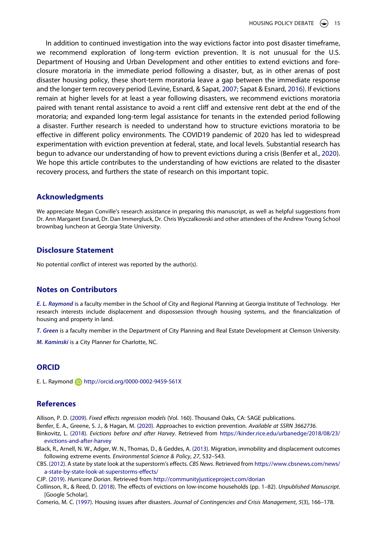<span id="page-15-8"></span>In addition to continued investigation into the way evictions factor into post disaster timeframe, we recommend exploration of long-term eviction prevention. It is not unusual for the U.S. Department of Housing and Urban Development and other entities to extend evictions and foreclosure moratoria in the immediate period following a disaster, but, as in other arenas of post disaster housing policy, these short-term moratoria leave a gap between the immediate response and the longer term recovery period (Levine, Esnard, & Sapat, [2007](#page-16-29); Sapat & Esnard, [2016](#page-17-26)). If evictions remain at higher levels for at least a year following disasters, we recommend evictions moratoria paired with tenant rental assistance to avoid a rent cliff and extensive rent debt at the end of the moratoria; and expanded long-term legal assistance for tenants in the extended period following a disaster. Further research is needed to understand how to structure evictions moratoria to be effective in different policy environments. The COVID19 pandemic of 2020 has led to widespread experimentation with eviction prevention at federal, state, and local levels. Substantial research has begun to advance our understanding of how to prevent evictions during a crisis (Benfer et al., [2020\)](#page-15-2). We hope this article contributes to the understanding of how evictions are related to the disaster recovery process, and furthers the state of research on this important topic.

## **Acknowledgments**

We appreciate Megan Conville's research assistance in preparing this manuscript, as well as helpful suggestions from Dr. Ann Margaret Esnard, Dr. Dan Immergluck, Dr. Chris Wyczalkowski and other attendees of the Andrew Young School brownbag luncheon at Georgia State University.

## **Disclosure Statement**

No potential conflict of interest was reported by the author(s).

# **Notes on Contributors**

*E. L. Raymond* is a faculty member in the School of City and Regional Planning at Georgia Institute of Technology. Her research interests include displacement and dispossession through housing systems, and the financialization of housing and property in land.

*T. Green* is a faculty member in the Department of City Planning and Real Estate Development at Clemson University.

*M. Kaminski* is a City Planner for Charlotte, NC.

# **ORCID**

E. L. Raymond http://orcid.org/0000-0002-9459-561X

# **References**

<span id="page-15-7"></span>Allison, P. D. [\(2009](#page-10-2)). *Fixed effects regression models* (Vol. 160). Thousand Oaks, CA: SAGE publications.

<span id="page-15-2"></span>Benfer, E. A., Greene, S. J., & Hagan, M. ([2020](#page-2-0)). Approaches to eviction prevention. *Available at SSRN 3662736*.

- <span id="page-15-5"></span>Binkovitz, L. [\(2018](#page-4-0)). *Evictions before and after Harvey*. Retrieved from [https://kinder.rice.edu/urbanedge/2018/08/23/](https://kinder.rice.edu/urbanedge/2018/08/23/evictions-and-after-harvey) [evictions-and-after-harvey](https://kinder.rice.edu/urbanedge/2018/08/23/evictions-and-after-harvey)
- <span id="page-15-0"></span>Black, R., Arnell, N. W., Adger, W. N., Thomas, D., & Geddes, A. ([2013](#page-1-2)). Migration, immobility and displacement outcomes following extreme events. *Environmental Science & Policy*, *27*, S32–S43.
- <span id="page-15-6"></span>CBS. [\(2012\)](#page-9-0). A state by state look at the superstorm's effects. *CBS News*. Retrieved from [https://www.cbsnews.com/news/](https://www.cbsnews.com/news/a-state-by-state-look-at-superstorms-effects/) [a-state-by-state-look-at-superstorms-effects/](https://www.cbsnews.com/news/a-state-by-state-look-at-superstorms-effects/)

<span id="page-15-4"></span>CJP. [\(2019](#page-3-0)). *Hurricane Dorian*. Retrieved from <http://communityjusticeproject.com/dorian>

<span id="page-15-1"></span>Collinson, R., & Reed, D. ([2018\)](#page-2-1). The effects of evictions on low-income households (pp. 1–82). *Unpublished Manuscript*. [Google Scholar].

<span id="page-15-3"></span>Comerio, M. C. ([1997](#page-2-2)). Housing issues after disasters. *Journal of Contingencies and Crisis Management*, *5*(3), 166–178.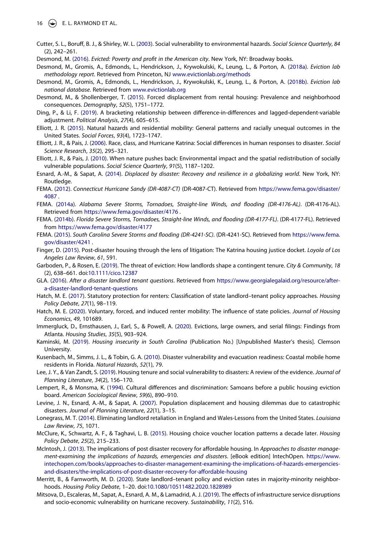- <span id="page-16-10"></span>Cutter, S. L., Boruff, B. J., & Shirley, W. L. ([2003](#page-3-1)). Social vulnerability to environmental hazards. *Social Science Quarterly*, *84*  (2), 242–261.
- <span id="page-16-3"></span>Desmond, M. [\(2016](#page-2-3)). *Evicted: Poverty and profit in the American city*. New York, NY: Broadway books.
- <span id="page-16-26"></span>Desmond, M., Gromis, A., Edmonds, L., Hendrickson, J., Krywokulski, K., Leung, L., & Porton, A. [\(2018a\)](#page-10-3). *Eviction lab methodology report*. Retrieved from Princeton, NJ [www.evictionlab.org/methods](http://www.evictionlab.org/methods)
- <span id="page-16-25"></span>Desmond, M., Gromis, A., Edmonds, L., Hendrickson, J., Krywokulski, K., Leung, L., & Porton, A. ([2018b\)](#page-10-4). *Eviction lab national database*. Retrieved from [www.evictionlab.org](http://www.evictionlab.org)
- <span id="page-16-2"></span>Desmond, M., & Shollenberger, T. [\(2015\)](#page-2-1). Forced displacement from rental housing: Prevalence and neighborhood consequences. *Demography*, *52*(5), 1751–1772.
- <span id="page-16-27"></span>Ding, P., & Li, F. [\(2019](#page-11-0)). A bracketing relationship between difference-in-differences and lagged-dependent-variable adjustment. *Political Analysis*, *27*(4), 605–615.
- <span id="page-16-8"></span>Elliott, J. R. ([2015](#page-3-2)). Natural hazards and residential mobility: General patterns and racially unequal outcomes in the United States. *Social Forces*, *93*(4), 1723–1747.
- <span id="page-16-6"></span>Elliott, J. R., & Pais, J. ([2006](#page-3-3)). Race, class, and Hurricane Katrina: Social differences in human responses to disaster. *Social Science Research*, *35*(2), 295–321.
- <span id="page-16-0"></span>Elliott, J. R., & Pais, J. ([2010](#page-1-2)). When nature pushes back: Environmental impact and the spatial redistribution of socially vulnerable populations. *Social Science Quarterly*, *91*(5), 1187–1202.
- <span id="page-16-1"></span>Esnard, A.-M., & Sapat, A. [\(2014](#page-1-3)). *Displaced by disaster: Recovery and resilience in a globalizing world*. New York, NY: Routledge.
- <span id="page-16-24"></span>FEMA. [\(2012\)](#page-9-1). *Connecticut Hurricane Sandy (DR-4087-CT)* (DR-4087-CT). Retrieved from [https://www.fema.gov/disaster/](https://www.fema.gov/disaster/4087) [4087](https://www.fema.gov/disaster/4087) .
- <span id="page-16-22"></span>FEMA. ([2014a\)](#page-7-0). *Alabama Severe Storms, Tornadoes, Straight-line Winds, and flooding (DR-4176-AL)*. (DR-4176-AL). Retrieved from <https://www.fema.gov/disaster/4176> .
- <span id="page-16-21"></span>FEMA. [\(2014b](#page-7-1)). *Florida Severe Storms, Tornadoes, Straight-line Winds, and flooding (DR-4177-FL)*. (DR-4177-FL). Retrieved from <https://www.fema.gov/disaster/4177>
- <span id="page-16-23"></span>FEMA. [\(2015\)](#page-9-2). *South Carolina Severe Storms and flooding (DR-4241-SC)*. (DR-4241-SC). Retrieved from [https://www.fema.](https://www.fema.gov/disaster/4241) [gov/disaster/4241](https://www.fema.gov/disaster/4241) .
- <span id="page-16-12"></span>Finger, D. [\(2015\)](#page-3-4). Post-disaster housing through the lens of litigation: The Katrina housing justice docket. *Loyola of Los Angeles Law Review*, *61*, 591.
- <span id="page-16-4"></span>Garboden, P., & Rosen, E. ([2019](#page-2-3)). The threat of eviction: How landlords shape a contingent tenure. *City & Community*, *18*  (2), 638–661. doi:[10.1111/cico.12387](https://doi.org/10.1111/cico.12387)
- <span id="page-16-13"></span>GLA. [\(2016\)](#page-3-0). *After a disaster landlord tenant questions*. Retrieved from [https://www.georgialegalaid.org/resource/after](https://www.georgialegalaid.org/resource/after-a-disaster-landlord-tenant-questions)[a-disaster-landlord-tenant-questions](https://www.georgialegalaid.org/resource/after-a-disaster-landlord-tenant-questions)
- <span id="page-16-5"></span>Hatch, M. E. ([2017](#page-2-4)). Statutory protection for renters: Classification of state landlord–tenant policy approaches. *Housing Policy Debate*, *27*(1), 98–119.
- <span id="page-16-20"></span>Hatch, M. E. ([2020](#page-6-0)). Voluntary, forced, and induced renter mobility: The influence of state policies. *Journal of Housing Economics*, *49*, 101689.
- <span id="page-16-28"></span>Immergluck, D., Ernsthausen, J., Earl, S., & Powell, A. [\(2020\)](#page-11-1). Evictions, large owners, and serial filings: Findings from Atlanta. *Housing Studies*, *35*(5), 903–924.
- <span id="page-16-14"></span>Kaminski, M. [\(2019](#page-4-1)). *Housing insecurity in South Carolina* (Publication No.) [Unpublished Master's thesis]. Clemson University.
- <span id="page-16-11"></span>Kusenbach, M., Simms, J. L., & Tobin, G. A. ([2010](#page-3-5)). Disaster vulnerability and evacuation readiness: Coastal mobile home residents in Florida. *Natural Hazards*, *52*(1), 79.
- <span id="page-16-7"></span>Lee, J. Y., & Van Zandt, S. ([2019](#page-3-6)). Housing tenure and social vulnerability to disasters: A review of the evidence. *Journal of Planning Literature*, *34*(2), 156–170.
- <span id="page-16-19"></span>Lempert, R., & Monsma, K. [\(1994\)](#page-5-0). Cultural differences and discrimination: Samoans before a public housing eviction board. *American Sociological Review*, *59*(6), 890–910.
- <span id="page-16-29"></span>Levine, J. N., Esnard, A.-M., & Sapat, A. ([2007\)](#page-15-8). Population displacement and housing dilemmas due to catastrophic disasters. *Journal of Planning Literature*, *22*(1), 3–15.
- <span id="page-16-18"></span>Lonegrass, M. T. ([2014](#page-5-1)). Eliminating landlord retaliation in England and Wales-Lessons from the United States. *Louisiana Law Review*, *75*, 1071.
- <span id="page-16-16"></span>McClure, K., Schwartz, A. F., & Taghavi, L. B. [\(2015\)](#page-4-2). Housing choice voucher location patterns a decade later. *Housing Policy Debate*, *25*(2), 215–233.
- <span id="page-16-9"></span>McIntosh, J. [\(2013\)](#page-3-7). The implications of post disaster recovery for affordable housing. In *Approaches to disaster management-examining the implications of hazards, emergencies and disasters*. [eBook edition] IntechOpen. [https://www.](https://www.intechopen.com/books/approaches-to-disaster-management-examining-the-implications-of-hazards-emergencies-and-disasters/the-implications-of-post-disaster-recovery-for-affordable-housing) [intechopen.com/books/approaches-to-disaster-management-examining-the-implications-of-hazards-emergencies](https://www.intechopen.com/books/approaches-to-disaster-management-examining-the-implications-of-hazards-emergencies-and-disasters/the-implications-of-post-disaster-recovery-for-affordable-housing)[and-disasters/the-implications-of-post-disaster-recovery-for-affordable-housing](https://www.intechopen.com/books/approaches-to-disaster-management-examining-the-implications-of-hazards-emergencies-and-disasters/the-implications-of-post-disaster-recovery-for-affordable-housing)
- <span id="page-16-17"></span>Merritt, B., & Farnworth, M. D. [\(2020\)](#page-5-2). State landlord–tenant policy and eviction rates in majority-minority neighborhoods. *Housing Policy Debate*, 1–20. doi:[10.1080/10511482.2020.1828989](https://doi.org/10.1080/10511482.2020.1828989)
- <span id="page-16-15"></span>Mitsova, D., Escaleras, M., Sapat, A., Esnard, A. M., & Lamadrid, A. J. ([2019](#page-4-3)). The effects of infrastructure service disruptions and socio-economic vulnerability on hurricane recovery. *Sustainability*, *11*(2), 516.